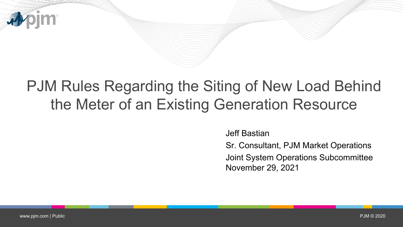

## PJM Rules Regarding the Siting of New Load Behind the Meter of an Existing Generation Resource

Jeff Bastian

Sr. Consultant, PJM Market Operations

Joint System Operations Subcommittee November 29, 2021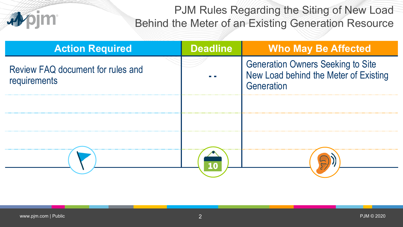PJM Rules Regarding the Siting of New Load Behind the Meter of an Existing Generation Resource

| <b>Action Required</b>                            | <b>Deadline</b> | <b>Who May Be Affected</b>                                                                      |
|---------------------------------------------------|-----------------|-------------------------------------------------------------------------------------------------|
| Review FAQ document for rules and<br>requirements |                 | <b>Generation Owners Seeking to Site</b><br>New Load behind the Meter of Existing<br>Generation |
|                                                   |                 |                                                                                                 |
|                                                   |                 |                                                                                                 |
|                                                   |                 |                                                                                                 |
|                                                   |                 |                                                                                                 |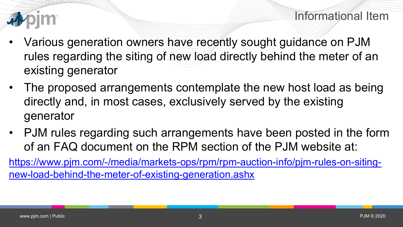

- Various generation owners have recently sought guidance on PJM rules regarding the siting of new load directly behind the meter of an existing generator
- The proposed arrangements contemplate the new host load as being directly and, in most cases, exclusively served by the existing generator
- PJM rules regarding such arrangements have been posted in the form of an FAQ document on the RPM section of the PJM website at:

[https://www.pjm.com/-/media/markets-ops/rpm/rpm-auction-info/pjm-rules-on-siting](https://www.pjm.com/-/media/markets-ops/rpm/rpm-auction-info/pjm-rules-on-siting-new-load-behind-the-meter-of-existing-generation.ashx)new-load-behind-the-meter-of-existing-generation.ashx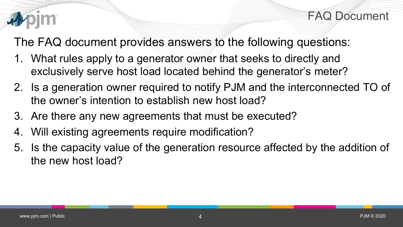

FAQ Document

The FAQ document provides answers to the following questions:

- 1. What rules apply to a generator owner that seeks to directly and exclusively serve host load located behind the generator's meter?
- 2. Is a generation owner required to notify PJM and the interconnected TO of the owner's intention to establish new host load?
- 3. Are there any new agreements that must be executed?
- 4. Will existing agreements require modification?
- 5. Is the capacity value of the generation resource affected by the addition of the new host load?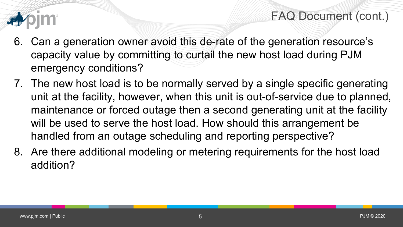

FAQ Document (cont.)

- 6. Can a generation owner avoid this de-rate of the generation resource's capacity value by committing to curtail the new host load during PJM emergency conditions?
- 7. The new host load is to be normally served by a single specific generating unit at the facility, however, when this unit is out-of-service due to planned, maintenance or forced outage then a second generating unit at the facility will be used to serve the host load. How should this arrangement be handled from an outage scheduling and reporting perspective?
- 8. Are there additional modeling or metering requirements for the host load addition?